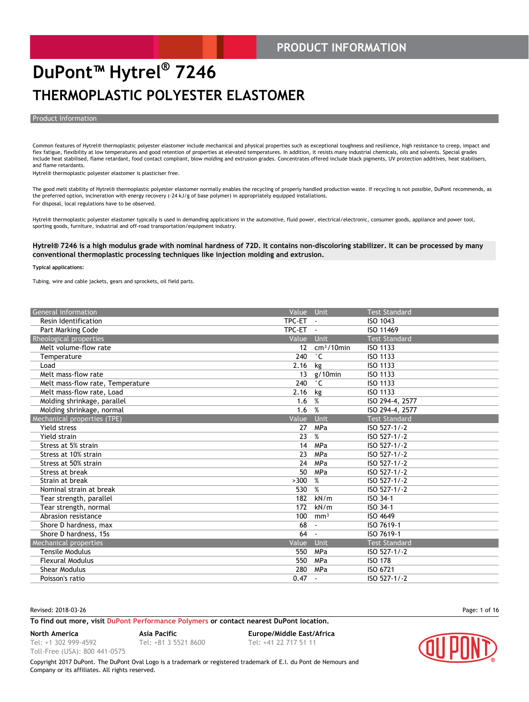#### **PRODUCT INFORMATION**

### **DuPont™ Hytrel® 7246 THERMOPLASTIC POLYESTER ELASTOMER**

#### Product Information

Common features of Hytrel® thermoplastic polyester elastomer include mechanical and physical properties such as exceptional toughness and resilience, high resistance to creep, impact and flex fatigue, flexibility at low temperatures and good retention of properties at elevated temperatures. In addition, it resists many industrial chemicals, oils and solvents. Special grades include heat stabilised, flame retardant, food contact compliant, blow molding and extrusion grades. Concentrates offered include black pigments, UV protection additives, heat stabilisers, and flame retardants.

Hytrel® thermoplastic polyester elastomer is plasticiser free.

The good melt stability of Hytrel® thermoplastic polyester elastomer normally enables the recycling of properly handled production waste. If recycling is not possible, DuPont recommends, as the preferred option, incineration with energy recovery (-24 kJ/g of base polymer) in appropriately equipped installations. For disposal, local regulations have to be observed.

Hytrel® thermoplastic polyester elastomer typically is used in demanding applications in the automotive, fluid power, electrical/electronic, consumer goods, appliance and power tool, sporting goods, furniture, industrial and off-road transportation/equipment industry.

#### **Hytrel® 7246 is a high modulus grade with nominal hardness of 72D. It contains non-discoloring stabilizer. It can be processed by many conventional thermoplastic processing techniques like injection molding and extrusion.**

#### **Typical applications:**

Tubing, wire and cable jackets, gears and sprockets, oil field parts.

| General information              | Value Unit |                 | <b>Test Standard</b> |
|----------------------------------|------------|-----------------|----------------------|
| Resin Identification             | TPC-ET     |                 | ISO 1043             |
| Part Marking Code                | TPC-ET     | $\sim$          | ISO 11469            |
| Rheological properties           | Value      | <b>Unit</b>     | <b>Test Standard</b> |
| Melt volume-flow rate            | 12         | $cm3/10$ min    | ISO 1133             |
| Temperature                      | 240        | $^{\circ}$ C    | ISO 1133             |
| Load                             | 2.16       | kg              | ISO 1133             |
| Melt mass-flow rate              | 13         | $g/10$ min      | ISO 1133             |
| Melt mass-flow rate, Temperature | 240        | $^{\circ}$ C    | ISO 1133             |
| Melt mass-flow rate, Load        | 2.16       | kg              | ISO 1133             |
| Molding shrinkage, parallel      | 1.6        | %               | ISO 294-4, 2577      |
| Molding shrinkage, normal        | 1.6        | %               | ISO 294-4, 2577      |
| Mechanical properties (TPE)      | Value      | <b>Unit</b>     | <b>Test Standard</b> |
| Yield stress                     | 27         | MPa             | ISO 527-1/-2         |
| Yield strain                     | 23         | %               | ISO 527-1/-2         |
| Stress at 5% strain              | 14         | MPa             | ISO 527-1/-2         |
| Stress at 10% strain             | 23         | MPa             | ISO 527-1/-2         |
| Stress at 50% strain             | 24         | MPa             | ISO 527-1/-2         |
| Stress at break                  | 50         | MPa             | ISO 527-1/-2         |
| Strain at break                  | >300       | %               | ISO 527-1/-2         |
| Nominal strain at break          | 530        | %               | ISO 527-1/-2         |
| Tear strength, parallel          | 182        | kN/m            | ISO 34-1             |
| Tear strength, normal            | 172        | kN/m            | ISO 34-1             |
| Abrasion resistance              | 100        | mm <sup>3</sup> | ISO 4649             |
| Shore D hardness, max            | 68         |                 | ISO 7619-1           |
| Shore D hardness, 15s            | 64         | $\blacksquare$  | ISO 7619-1           |
| Mechanical properties            | Value      | Unit            | <b>Test Standard</b> |
| <b>Tensile Modulus</b>           | 550        | MPa             | ISO 527-1/-2         |
| <b>Flexural Modulus</b>          | 550        | MPa             | <b>ISO 178</b>       |
| <b>Shear Modulus</b>             | 280        | MPa             | ISO 6721             |
| Poisson's ratio                  | 0.47       | $\blacksquare$  | ISO 527-1/-2         |
|                                  |            |                 |                      |

Revised: 2018-03-26 Page: 1 of 16

#### **To find out more, visit [DuPont Performance Polymers](http://www.dupont.com/products-and-services/plastics-polymers-resins/thermoplastics.html) or contact nearest DuPont location.**

**North America Asia Pacific Europe/Middle East/Africa**

Tel: +1 302 999-4592 Toll-Free (USA): 800 441-0575

Tel: +81 3 5521 8600 Tel: +41 22 717 51 11

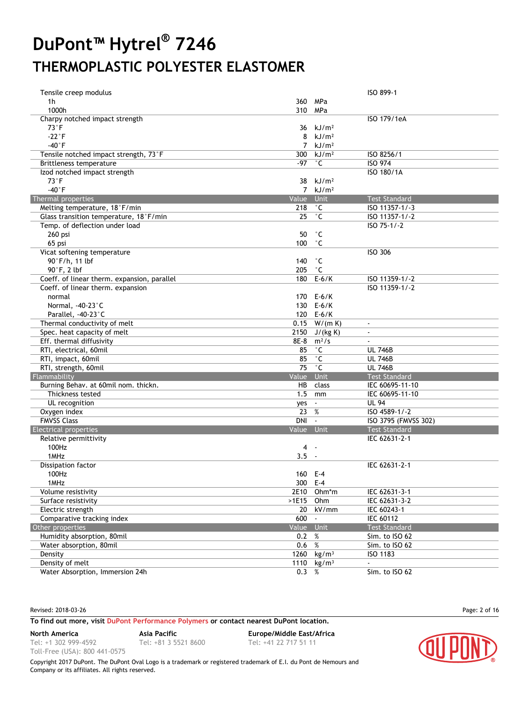| Tensile creep modulus                       |                |                        | ISO 899-1                |
|---------------------------------------------|----------------|------------------------|--------------------------|
| 1h                                          |                | 360 MPa                |                          |
| 1000h                                       | 310 MPa        |                        |                          |
| Charpy notched impact strength              |                |                        | ISO 179/1eA              |
| $73^{\circ}$ F                              | 36             | kJ/m <sup>2</sup>      |                          |
| $-22^{\circ}F$                              | 8              | kJ/m <sup>2</sup>      |                          |
| $-40^{\circ}$ F                             |                | $7$ kJ/m <sup>2</sup>  |                          |
| Tensile notched impact strength, 73°F       |                | 300 $kJ/m2$            | ISO 8256/1               |
| Brittleness temperature                     | -97            | $^{\circ}$ C           | <b>ISO 974</b>           |
| Izod notched impact strength                |                |                        | ISO 180/1A               |
| $73^{\circ}$ F                              | 38             | kJ/m <sup>2</sup>      |                          |
| $-40°$ F                                    | $\overline{7}$ | kJ/m <sup>2</sup>      |                          |
| Thermal properties                          | Value          | Unit                   | <b>Test Standard</b>     |
| Melting temperature, 18°F/min               | 218            | $^{\circ}$ C           | ISO 11357-1/-3           |
| Glass transition temperature, 18°F/min      | 25             | $^\circ$ C             | ISO 11357-1/-2           |
| Temp. of deflection under load              |                |                        | ISO 75-1/-2              |
| 260 psi                                     | 50             | $^{\circ}$ C           |                          |
| 65 psi                                      | 100            | $^{\circ}$ C           |                          |
| Vicat softening temperature                 |                |                        | <b>ISO 306</b>           |
| 90°F/h, 11 lbf                              | 140            | $^{\circ}$ C           |                          |
| 90°F, 2 lbf                                 | 205            | $^{\circ}$ C           |                          |
| Coeff. of linear therm. expansion, parallel | 180            | $E-6/K$                | ISO 11359-1/-2           |
| Coeff. of linear therm. expansion           |                |                        | ISO 11359-1/-2           |
| normal                                      |                | 170 E-6/K              |                          |
| Normal, -40-23°C                            |                | 130 E-6/K              |                          |
| Parallel, -40-23°C                          |                | 120 E-6/K              |                          |
| Thermal conductivity of melt                |                | $0.15$ W/(m K)         | $\sim$                   |
| Spec. heat capacity of melt                 | 2150           | J/(kg K)               | $\blacksquare$           |
| Eff. thermal diffusivity                    | 8E-8           | $m^2/s$                |                          |
| RTI, electrical, 60mil                      | 85             | $^\circ$ C             | <b>UL 746B</b>           |
| RTI, impact, 60mil                          | 85             | $^{\circ}$ C           | <b>UL 746B</b>           |
| RTI, strength, 60mil                        | 75             | $^{\circ}$ C           | <b>UL 746B</b>           |
| Flammability                                | Value          | Unit                   | <b>Test Standard</b>     |
| Burning Behav. at 60mil nom. thickn.        | HB             | class                  | IEC 60695-11-10          |
| Thickness tested                            | 1.5            | mm                     | IEC 60695-11-10          |
| UL recognition                              | yes            | $\blacksquare$         | <b>UL 94</b>             |
| Oxygen index                                | 23 %           |                        | ISO 4589-1/-2            |
| <b>FMVSS Class</b>                          | DNI -          |                        | ISO 3795 (FMVSS 302)     |
| <b>Electrical properties</b>                | Value Unit     |                        | <b>Test Standard</b>     |
| Relative permittivity                       |                |                        | IEC 62631-2-1            |
| 100Hz                                       | 4              | $\sim$                 |                          |
| 1MHz                                        | 3.5            | $\sim$                 |                          |
| Dissipation factor                          |                |                        | IEC 62631-2-1            |
| 100Hz                                       | 160 E-4        |                        |                          |
| 1MHz                                        | 300 E-4        |                        |                          |
| Volume resistivity                          |                | 2E10 Ohm*m             | IEC 62631-3-1            |
| Surface resistivity                         | >1E15          | Ohm                    | IEC 62631-3-2            |
| Electric strength                           | 20             | kV/mm                  | IEC 60243-1              |
| Comparative tracking index                  | 600            | $\blacksquare$         | IEC 60112                |
| Other properties                            | Value Unit     |                        | <b>Test Standard</b>     |
| Humidity absorption, 80mil                  | 0.2            | $\%$                   | Sim. to ISO 62           |
| Water absorption, 80mil                     | 0.6 %          |                        | Sim. to ISO 62           |
| Density                                     |                | 1260 kg/m <sup>3</sup> | ISO 1183                 |
| Density of melt                             | 1110           | kg/m <sup>3</sup>      | $\overline{\phantom{a}}$ |
| Water Absorption, Immersion 24h             | 0.3 %          |                        | Sim. to ISO 62           |

Revised: 2018-03-26 Page: 2 of 16

#### **To find out more, visit [DuPont Performance Polymers](http://www.dupont.com/products-and-services/plastics-polymers-resins/thermoplastics.html) or contact nearest DuPont location.**

**North America Asia Pacific Europe/Middle East/Africa**

Tel: +1 302 999-4592 Toll-Free (USA): 800 441-0575

Tel: +81 3 5521 8600 Tel: +41 22 717 51 11

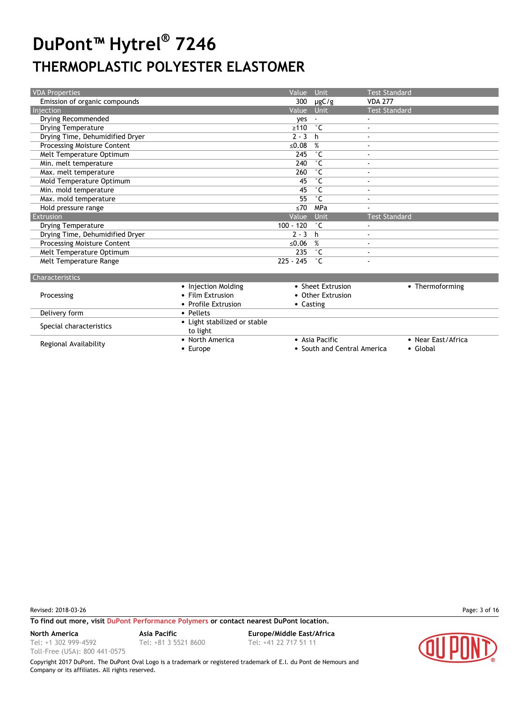| <b>VDA Properties</b>              |                     | Value       | Unit              | <b>Test Standard</b>     |
|------------------------------------|---------------------|-------------|-------------------|--------------------------|
| Emission of organic compounds      |                     | 300         | $\mu$ gC/g        | <b>VDA 277</b>           |
| Injection                          |                     | Value       | Unit              | <b>Test Standard</b>     |
| Drying Recommended                 |                     | ves         |                   | $\blacksquare$           |
| <b>Drying Temperature</b>          |                     | $\geq 110$  | ۰c                | $\blacksquare$           |
| Drying Time, Dehumidified Dryer    |                     | $2 - 3$     | h                 | $\overline{\phantom{a}}$ |
| <b>Processing Moisture Content</b> |                     | ≤0.08       | %                 | $\blacksquare$           |
| Melt Temperature Optimum           |                     | 245         | ۰c                | $\overline{\phantom{a}}$ |
| Min. melt temperature              |                     | 240         | ۰c                | $\overline{\phantom{a}}$ |
| Max. melt temperature              |                     | 260         | $^{\circ}$ C      |                          |
| Mold Temperature Optimum           |                     | 45          | ۰c                | $\overline{\phantom{a}}$ |
| Min. mold temperature              |                     | 45          | $^{\circ}$ C      | $\overline{\phantom{a}}$ |
| Max. mold temperature              |                     | 55          | $^{\circ}$ C      | $\overline{\phantom{a}}$ |
| Hold pressure range                |                     | $\leq 70$   | MPa               |                          |
| Extrusion                          |                     | Value       | Unit              | <b>Test Standard</b>     |
| <b>Drying Temperature</b>          |                     | $100 - 120$ | ۰c                | $\overline{\phantom{a}}$ |
| Drying Time, Dehumidified Dryer    |                     | $2 - 3$     | h                 | $\overline{\phantom{a}}$ |
| <b>Processing Moisture Content</b> |                     | ≤ $0.06$    | %                 | $\overline{\phantom{a}}$ |
| Melt Temperature Optimum           |                     | 235         | ۰c                |                          |
| Melt Temperature Range             |                     | $225 - 245$ | ۰c                |                          |
| <b>Characteristics</b>             |                     |             |                   |                          |
|                                    | • Injection Molding |             | • Sheet Extrusion | • Thermoforming          |

|                         |                              | <b>JULCL LAU UJIUL</b>      |                    |
|-------------------------|------------------------------|-----------------------------|--------------------|
| Processing              | • Film Extrusion             | • Other Extrusion           |                    |
|                         | • Profile Extrusion          | • Casting                   |                    |
| Delivery form           | • Pellets                    |                             |                    |
| Special characteristics | • Light stabilized or stable |                             |                    |
|                         | to light                     |                             |                    |
| Regional Availability   | • North America              | • Asia Pacific              | • Near East/Africa |
|                         | • Europe                     | • South and Central America | • Global           |
|                         |                              |                             |                    |

Revised: 2018-03-26 Page: 3 of 16

Tel: +1 302 999-4592 Toll-Free (USA): 800 441-0575

**To find out more, visit [DuPont Performance Polymers](http://www.dupont.com/products-and-services/plastics-polymers-resins/thermoplastics.html) or contact nearest DuPont location.**

Tel: +81 3 5521 8600 Tel: +41 22 717 51 11

**North America Asia Pacific Europe/Middle East/Africa**

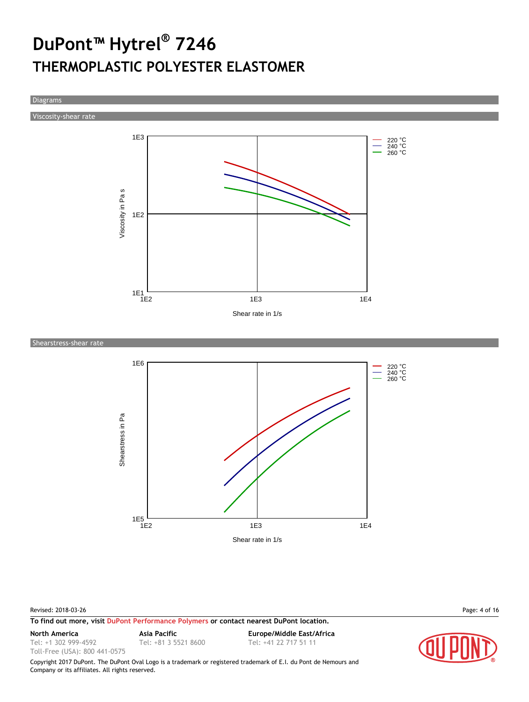Diagrams

Viscosity-shear rate



Shearstress-shear rate



Revised: 2018-03-26 Page: 4 of 16

**To find out more, visit [DuPont Performance Polymers](http://www.dupont.com/products-and-services/plastics-polymers-resins/thermoplastics.html) or contact nearest DuPont location.**

Tel: +1 302 999-4592

Toll-Free (USA): 800 441-0575

Tel: +81 3 5521 8600 Tel: +41 22 717 51 11

**North America Asia Pacific Europe/Middle East/Africa**

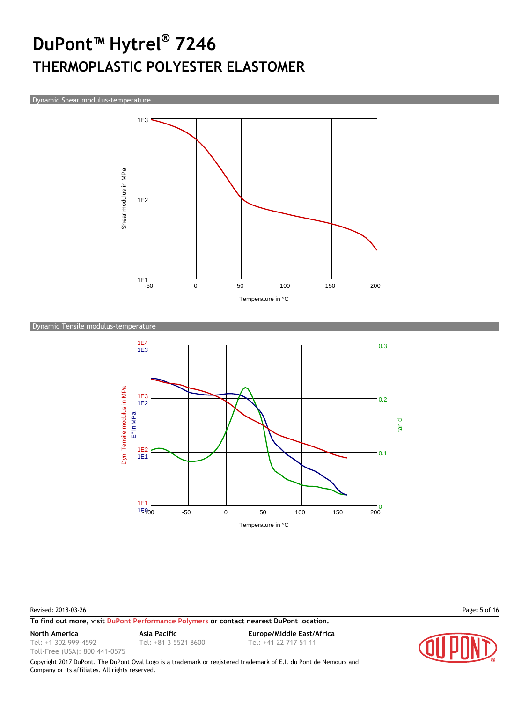Dynamic Shear modulus-temperature



#### Dynamic Tensile modulus-temperature



#### Revised: 2018-03-26 Page: 5 of 16

**To find out more, visit [DuPont Performance Polymers](http://www.dupont.com/products-and-services/plastics-polymers-resins/thermoplastics.html) or contact nearest DuPont location.**

Tel: +1 302 999-4592

Toll-Free (USA): 800 441-0575

Tel: +81 3 5521 8600 Tel: +41 22 717 51 11

**North America Asia Pacific Europe/Middle East/Africa**



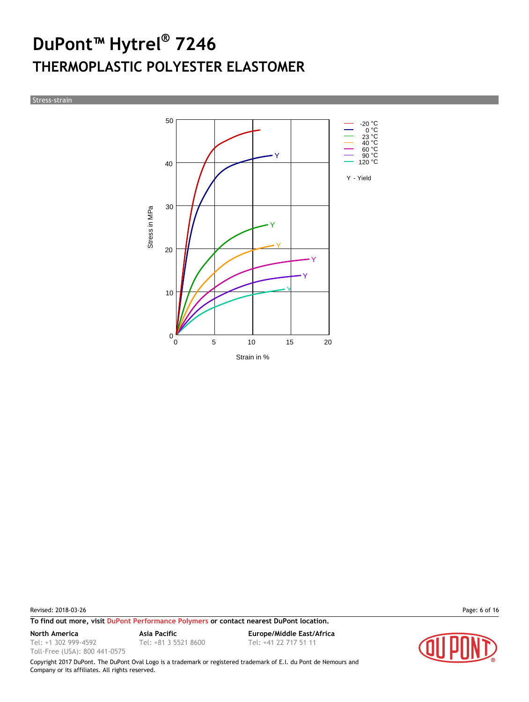Stress-strain



Revised: 2018-03-26 Page: 6 of 16

**To find out more, visit [DuPont Performance Polymers](http://www.dupont.com/products-and-services/plastics-polymers-resins/thermoplastics.html) or contact nearest DuPont location.**

Tel: +1 302 999-4592

Toll-Free (USA): 800 441-0575

**North America Asia Pacific Europe/Middle East/Africa** Tel: +81 3 5521 8600 Tel: +41 22 717 51 11

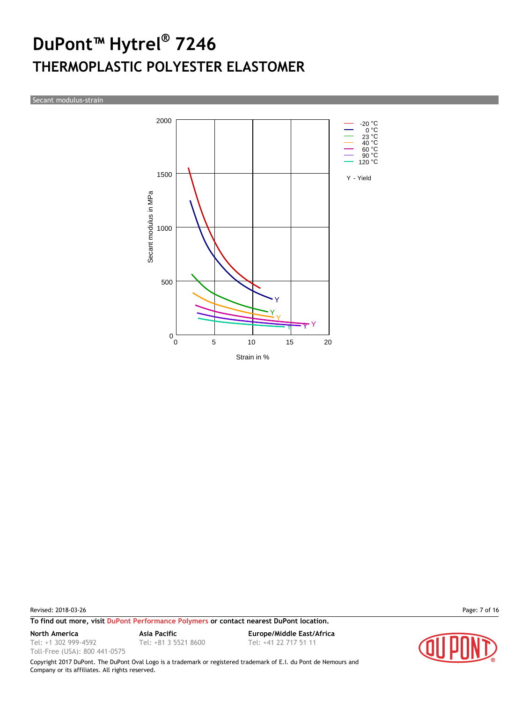Secant modulus-strain



Revised: 2018-03-26 Page: 7 of 16

**To find out more, visit [DuPont Performance Polymers](http://www.dupont.com/products-and-services/plastics-polymers-resins/thermoplastics.html) or contact nearest DuPont location.**

Tel: +1 302 999-4592

Toll-Free (USA): 800 441-0575

**North America Asia Pacific Europe/Middle East/Africa** Tel: +81 3 5521 8600 Tel: +41 22 717 51 11

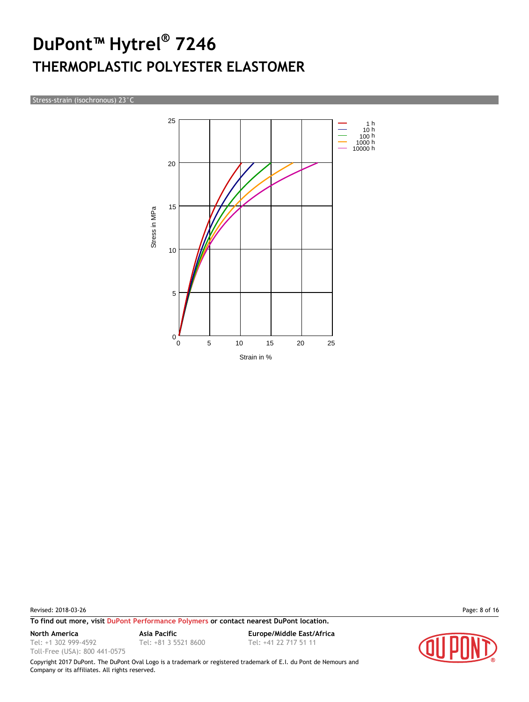Stress-strain (isochronous) 23°C



Revised: 2018-03-26 Page: 8 of 16

**To find out more, visit [DuPont Performance Polymers](http://www.dupont.com/products-and-services/plastics-polymers-resins/thermoplastics.html) or contact nearest DuPont location.**

Tel: +1 302 999-4592

Toll-Free (USA): 800 441-0575

**North America Asia Pacific Europe/Middle East/Africa** Tel: +81 3 5521 8600 Tel: +41 22 717 51 11

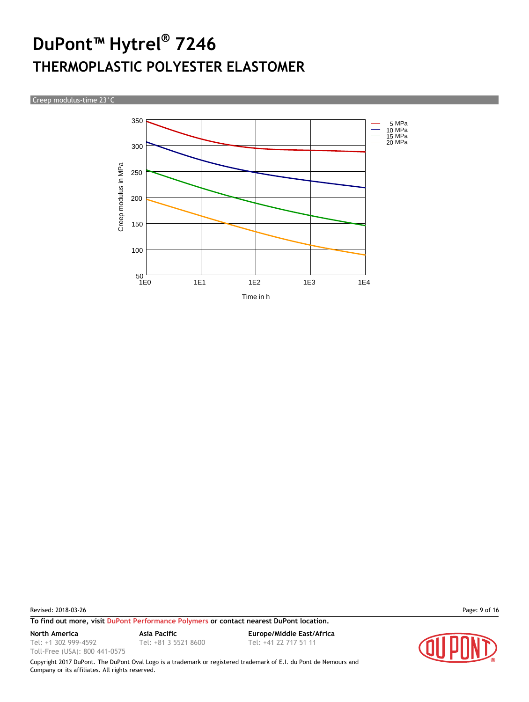Creep modulus-time 23°C



Revised: 2018-03-26 Page: 9 of 16

**To find out more, visit [DuPont Performance Polymers](http://www.dupont.com/products-and-services/plastics-polymers-resins/thermoplastics.html) or contact nearest DuPont location.**

Tel: +1 302 999-4592

Toll-Free (USA): 800 441-0575

**North America Asia Pacific Europe/Middle East/Africa** Tel: +81 3 5521 8600 Tel: +41 22 717 51 11

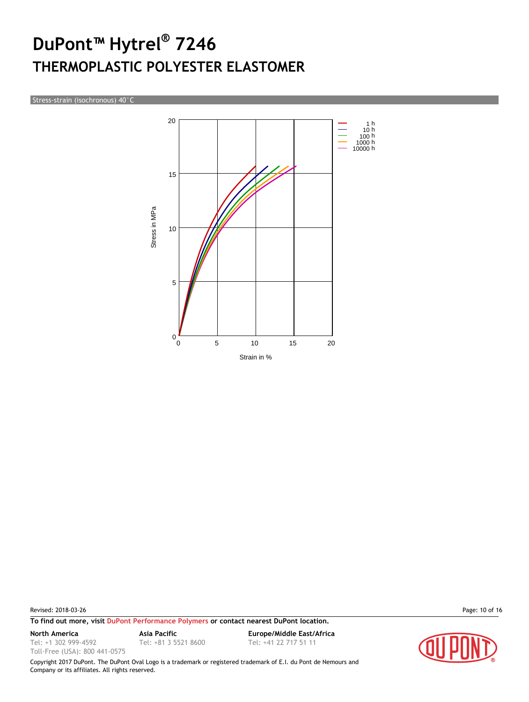Stress-strain (isochronous) 40°C



Revised: 2018-03-26 Page: 10 of 16

Tel: +1 302 999-4592 Toll-Free (USA): 800 441-0575

**To find out more, visit [DuPont Performance Polymers](http://www.dupont.com/products-and-services/plastics-polymers-resins/thermoplastics.html) or contact nearest DuPont location.**

Tel: +81 3 5521 8600 Tel: +41 22 717 51 11

**North America Asia Pacific Europe/Middle East/Africa**

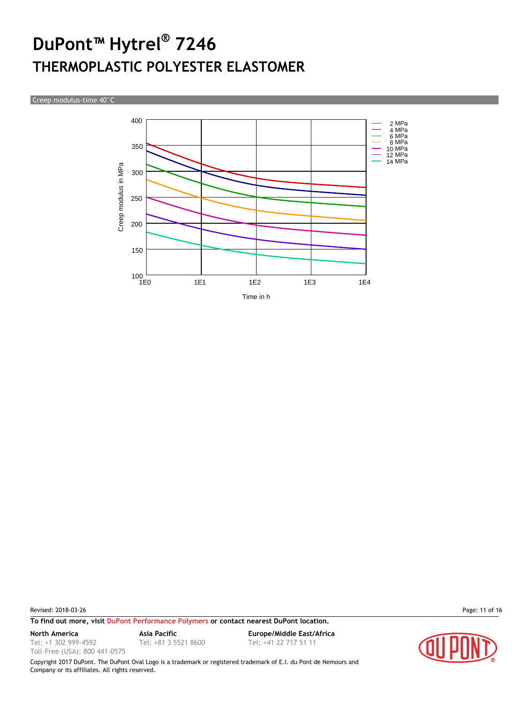Creep modulus-time 40°C



Revised: 2018-03-26 Page: 11 of 16

**To find out more, visit [DuPont Performance Polymers](http://www.dupont.com/products-and-services/plastics-polymers-resins/thermoplastics.html) or contact nearest DuPont location.**

Tel: +1 302 999-4592 Toll-Free (USA): 800 441-0575

Tel: +81 3 5521 8600 Tel: +41 22 717 51 11

**North America Asia Pacific Europe/Middle East/Africa**

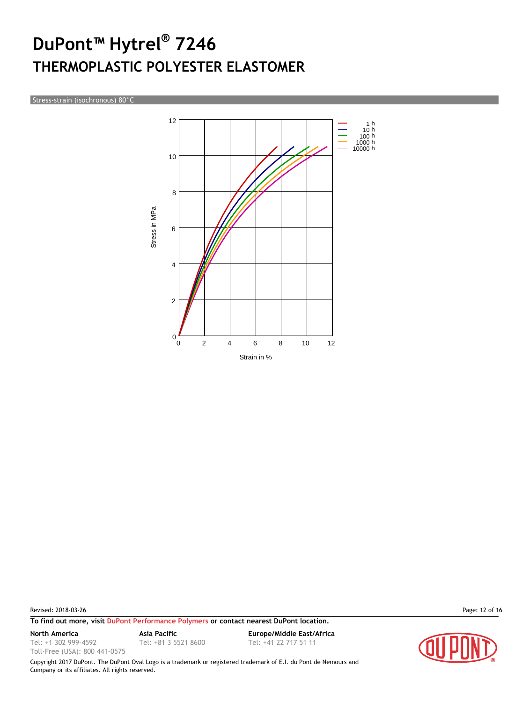Stress-strain (isochronous) 80°C



Revised: 2018-03-26 Page: 12 of 16

**To find out more, visit [DuPont Performance Polymers](http://www.dupont.com/products-and-services/plastics-polymers-resins/thermoplastics.html) or contact nearest DuPont location.**

Tel: +1 302 999-4592

Toll-Free (USA): 800 441-0575

Tel: +81 3 5521 8600 Tel: +41 22 717 51 11

**North America Asia Pacific Europe/Middle East/Africa**

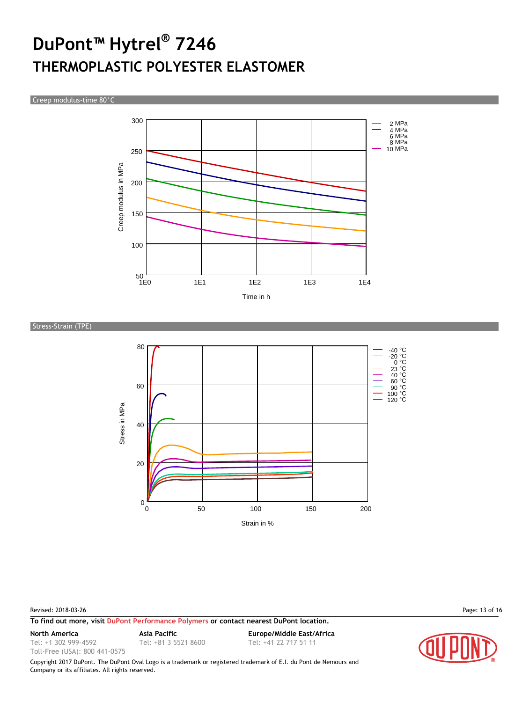Creep modulus-time 80°C



Stress-Strain (TPE)



Revised: 2018-03-26 Page: 13 of 16

**To find out more, visit [DuPont Performance Polymers](http://www.dupont.com/products-and-services/plastics-polymers-resins/thermoplastics.html) or contact nearest DuPont location.**

Tel: +1 302 999-4592

Toll-Free (USA): 800 441-0575

**North America Asia Pacific Europe/Middle East/Africa** Tel: +81 3 5521 8600 Tel: +41 22 717 51 11

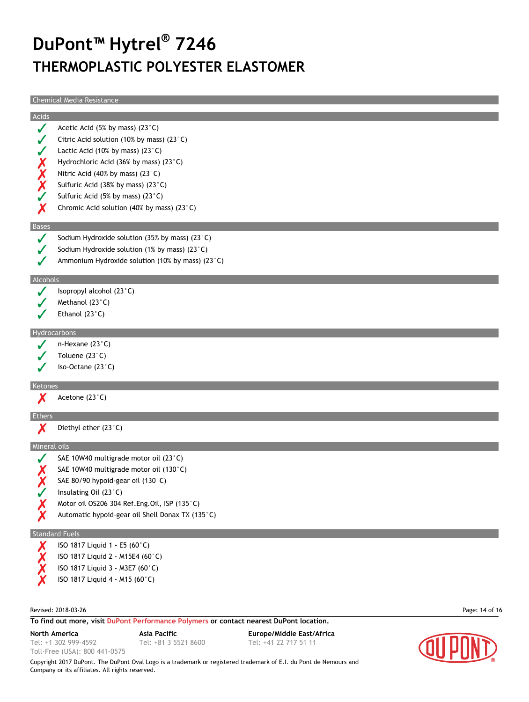Chemical Media Resistance

|              | Chemical Media Resistance                                                               |                |
|--------------|-----------------------------------------------------------------------------------------|----------------|
| Acids        |                                                                                         |                |
| J            | Acetic Acid (5% by mass) (23°C)                                                         |                |
|              | Citric Acid solution (10% by mass) (23 $^{\circ}$ C)                                    |                |
|              | Lactic Acid (10% by mass) $(23^{\circ}C)$                                               |                |
|              | Hydrochloric Acid (36% by mass) (23°C)                                                  |                |
|              | Nitric Acid (40% by mass) (23°C)                                                        |                |
| X<br>X<br>X  | Sulfuric Acid (38% by mass) (23°C)                                                      |                |
|              | Sulfuric Acid (5% by mass) (23°C)                                                       |                |
| Х            | Chromic Acid solution (40% by mass) (23 $^{\circ}$ C)                                   |                |
|              |                                                                                         |                |
| <b>Bases</b> |                                                                                         |                |
|              | Sodium Hydroxide solution (35% by mass) (23 $^{\circ}$ C)                               |                |
|              | Sodium Hydroxide solution (1% by mass) (23 $^{\circ}$ C)                                |                |
|              | Ammonium Hydroxide solution (10% by mass) (23°C)                                        |                |
| Alcohols     |                                                                                         |                |
|              | Isopropyl alcohol (23°C)                                                                |                |
|              | Methanol (23°C)                                                                         |                |
|              | Ethanol $(23^{\circ}C)$                                                                 |                |
|              |                                                                                         |                |
|              | Hydrocarbons                                                                            |                |
|              | n-Hexane (23°C)                                                                         |                |
|              | Toluene $(23^{\circ}C)$                                                                 |                |
|              | iso-Octane $(23^{\circ}C)$                                                              |                |
| Ketones      |                                                                                         |                |
|              | Acetone (23°C)                                                                          |                |
| Ethers       |                                                                                         |                |
| Х            | Diethyl ether (23°C)                                                                    |                |
|              | <b>Mineral oils</b>                                                                     |                |
|              | SAE 10W40 multigrade motor oil (23°C)                                                   |                |
|              | SAE 10W40 multigrade motor oil (130°C)                                                  |                |
|              | SAE 80/90 hypoid-gear oil (130°C)                                                       |                |
|              | Insulating Oil (23°C)                                                                   |                |
|              | Motor oil OS206 304 Ref.Eng.Oil, ISP (135°C)                                            |                |
|              | Automatic hypoid-gear oil Shell Donax TX (135°C)                                        |                |
|              |                                                                                         |                |
|              | <b>Standard Fuels</b>                                                                   |                |
|              | ISO 1817 Liquid 1 - E5 (60°C)                                                           |                |
|              | ISO 1817 Liquid 2 - M15E4 (60°C)                                                        |                |
|              | ISO 1817 Liquid 3 - M3E7 (60°C)                                                         |                |
|              | ISO 1817 Liquid 4 - M15 (60°C)                                                          |                |
|              |                                                                                         |                |
|              | Revised: 2018-03-26                                                                     | Page: 14 of 16 |
|              | To find out more, visit DuPont Performance Polymers or contact nearest DuPont location. |                |



**North America Asia Pacific Europe/Middle East/Africa** Tel: +81 3 5521 8600 Tel: +41 22 717 51 11

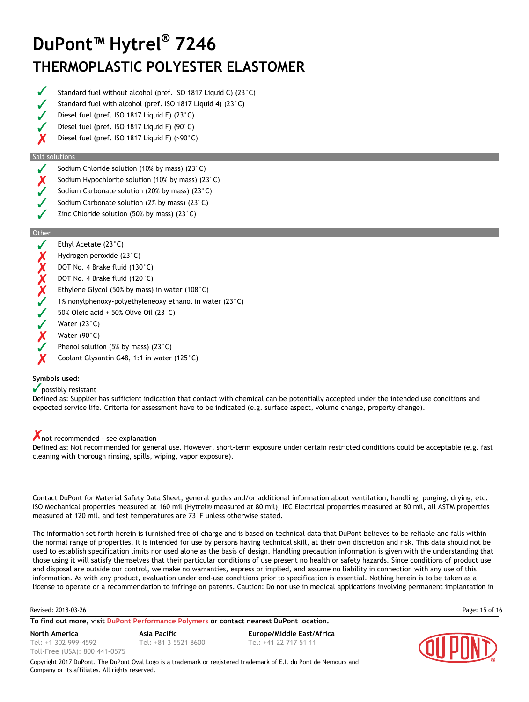- Standard fuel without alcohol (pref. ISO 1817 Liquid C) (23°C)
- Standard fuel with alcohol (pref. ISO 1817 Liquid 4) (23°C)
- Diesel fuel (pref. ISO 1817 Liquid F) (23°C)
- Diesel fuel (pref. ISO 1817 Liquid F) (90°C)
- X Diesel fuel (pref. ISO 1817 Liquid F) (>90°C)

#### Salt solutions

- Sodium Chloride solution (10% by mass) (23°C)
- Sodium Hypochlorite solution (10% by mass) (23°C)
- Sodium Carbonate solution (20% by mass) (23°C)
- Sodium Carbonate solution (2% by mass) (23°C)
- Zinc Chloride solution (50% by mass) (23°C)

#### Other

|                   | Ethyl Acetate $(23^{\circ}C)$                                    |
|-------------------|------------------------------------------------------------------|
| X                 | Hydrogen peroxide $(23^{\circ}C)$                                |
|                   | DOT No. 4 Brake fluid (130°C)                                    |
| $\frac{1}{x}$     | DOT No. 4 Brake fluid (120°C)                                    |
| $\bm{\mathsf{X}}$ | Ethylene Glycol (50% by mass) in water (108 $^{\circ}$ C)        |
| J                 | 1% nonylphenoxy-polyethyleneoxy ethanol in water $(23^{\circ}C)$ |
|                   | 50% Oleic acid + 50% Olive Oil $(23^{\circ}C)$                   |
| ✔                 | Water $(23^{\circ}C)$                                            |
| Х                 | Water $(90^{\circ}$ C)                                           |
|                   | Phenol solution (5% by mass) (23 $^{\circ}$ C)                   |

Coolant Glysantin G48, 1:1 in water (125°C)

#### **Symbols used:**

#### $\sqrt{\ }$  possibly resistant

Defined as: Supplier has sufficient indication that contact with chemical can be potentially accepted under the intended use conditions and expected service life. Criteria for assessment have to be indicated (e.g. surface aspect, volume change, property change).

#### not recommended - see explanation

Defined as: Not recommended for general use. However, short-term exposure under certain restricted conditions could be acceptable (e.g. fast cleaning with thorough rinsing, spills, wiping, vapor exposure).

Contact DuPont for Material Safety Data Sheet, general guides and/or additional information about ventilation, handling, purging, drying, etc. ISO Mechanical properties measured at 160 mil (Hytrel® measured at 80 mil), IEC Electrical properties measured at 80 mil, all ASTM properties measured at 120 mil, and test temperatures are 73°F unless otherwise stated.

The information set forth herein is furnished free of charge and is based on technical data that DuPont believes to be reliable and falls within the normal range of properties. It is intended for use by persons having technical skill, at their own discretion and risk. This data should not be used to establish specification limits nor used alone as the basis of design. Handling precaution information is given with the understanding that those using it will satisfy themselves that their particular conditions of use present no health or safety hazards. Since conditions of product use and disposal are outside our control, we make no warranties, express or implied, and assume no liability in connection with any use of this information. As with any product, evaluation under end-use conditions prior to specification is essential. Nothing herein is to be taken as a license to operate or a recommendation to infringe on patents. Caution: Do not use in medical applications involving permanent implantation in

#### Revised: 2018-03-26 Page: 15 of 16

**To find out more, visit [DuPont Performance Polymers](http://www.dupont.com/products-and-services/plastics-polymers-resins/thermoplastics.html) or contact nearest DuPont location.**

Tel: +1 302 999-4592 Toll-Free (USA): 800 441-0575

**North America Asia Pacific Europe/Middle East/Africa** Tel: +81 3 5521 8600 Tel: +41 22 717 51 11